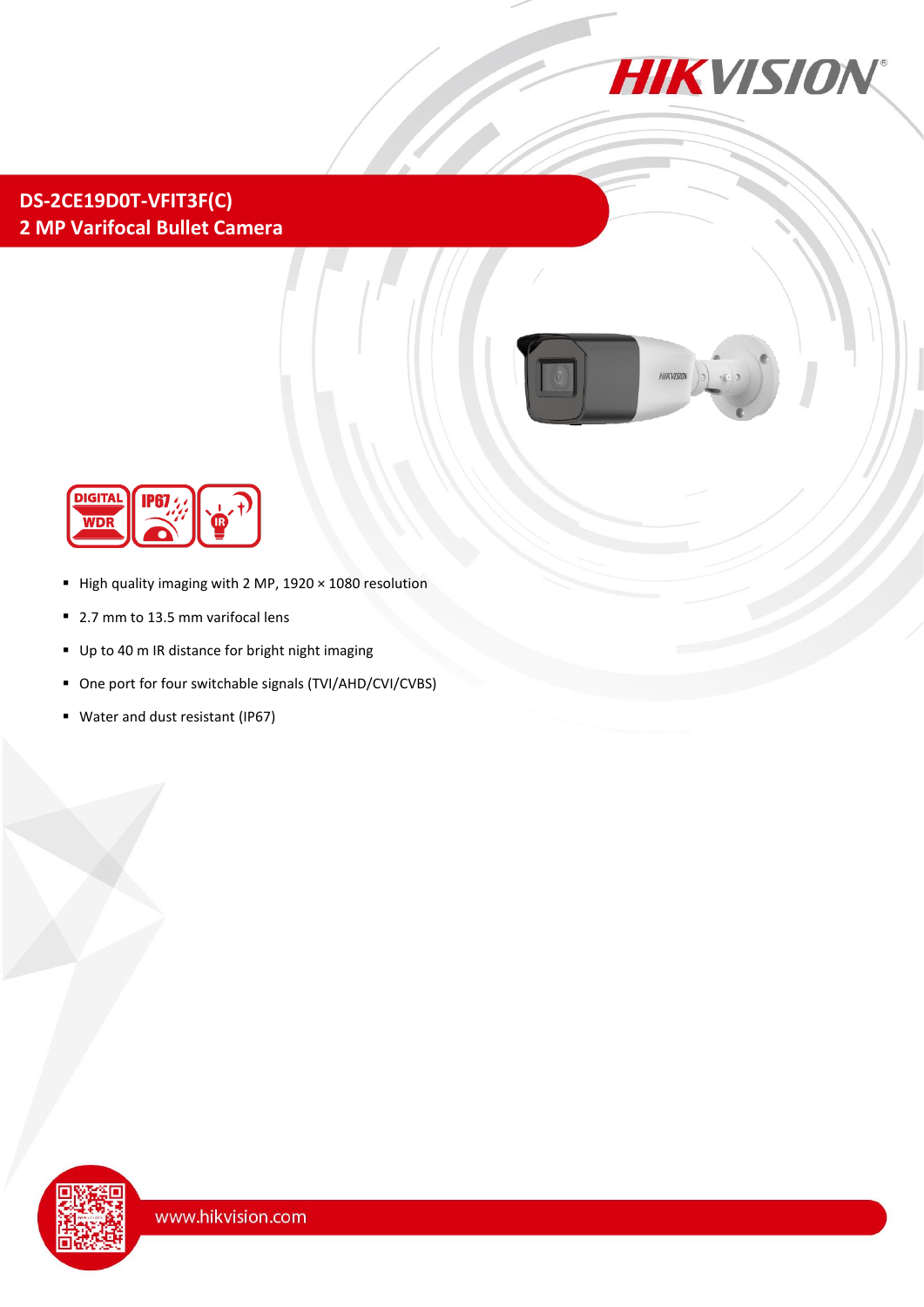

## **DS-2CE19D0T-VFIT3F(C) 2 MP Varifocal Bullet Camera**





- High quality imaging with 2 MP,  $1920 \times 1080$  resolution
- 2.7 mm to 13.5 mm varifocal lens
- Up to 40 m IR distance for bright night imaging
- One port for four switchable signals (TVI/AHD/CVI/CVBS)
- Water and dust resistant (IP67)

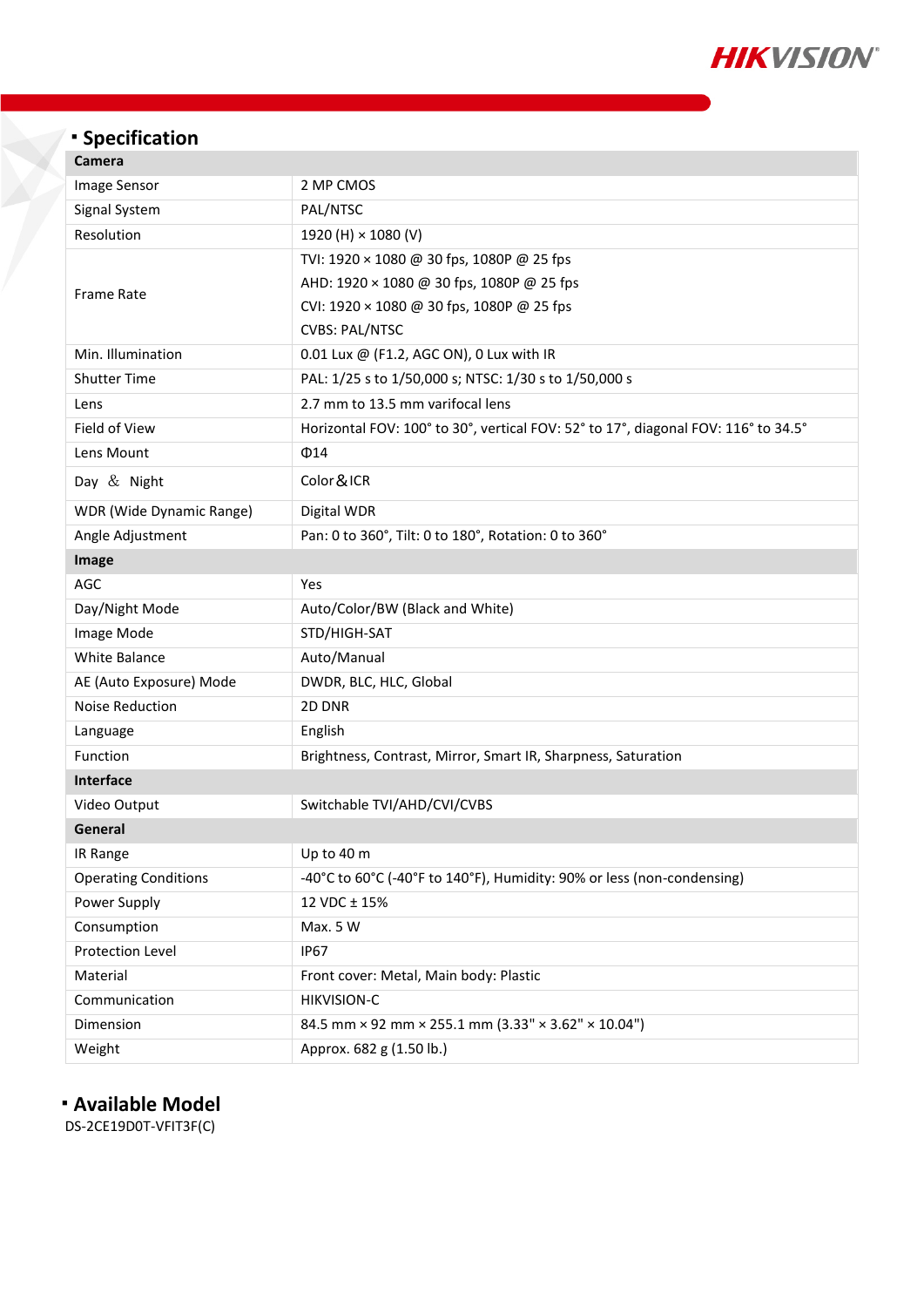

# **Specification**

| Camera                      |                                                                                    |
|-----------------------------|------------------------------------------------------------------------------------|
| Image Sensor                | 2 MP CMOS                                                                          |
| Signal System               | PAL/NTSC                                                                           |
| Resolution                  | 1920 (H) × 1080 (V)                                                                |
| <b>Frame Rate</b>           | TVI: 1920 × 1080 @ 30 fps, 1080P @ 25 fps                                          |
|                             | AHD: 1920 × 1080 @ 30 fps, 1080P @ 25 fps                                          |
|                             | CVI: 1920 × 1080 @ 30 fps, 1080P @ 25 fps                                          |
|                             | <b>CVBS: PAL/NTSC</b>                                                              |
| Min. Illumination           | 0.01 Lux @ (F1.2, AGC ON), 0 Lux with IR                                           |
| <b>Shutter Time</b>         | PAL: 1/25 s to 1/50,000 s; NTSC: 1/30 s to 1/50,000 s                              |
| Lens                        | 2.7 mm to 13.5 mm varifocal lens                                                   |
| Field of View               | Horizontal FOV: 100° to 30°, vertical FOV: 52° to 17°, diagonal FOV: 116° to 34.5° |
| Lens Mount                  | $\Phi$ 14                                                                          |
| Day & Night                 | Color & ICR                                                                        |
| WDR (Wide Dynamic Range)    | Digital WDR                                                                        |
| Angle Adjustment            | Pan: 0 to 360°, Tilt: 0 to 180°, Rotation: 0 to 360°                               |
| Image                       |                                                                                    |
| AGC                         | Yes                                                                                |
| Day/Night Mode              | Auto/Color/BW (Black and White)                                                    |
| Image Mode                  | STD/HIGH-SAT                                                                       |
| <b>White Balance</b>        | Auto/Manual                                                                        |
| AE (Auto Exposure) Mode     | DWDR, BLC, HLC, Global                                                             |
| <b>Noise Reduction</b>      | 2D DNR                                                                             |
| Language                    | English                                                                            |
| Function                    | Brightness, Contrast, Mirror, Smart IR, Sharpness, Saturation                      |
| Interface                   |                                                                                    |
| Video Output                | Switchable TVI/AHD/CVI/CVBS                                                        |
| General                     |                                                                                    |
| IR Range                    | Up to 40 m                                                                         |
| <b>Operating Conditions</b> | -40°C to 60°C (-40°F to 140°F), Humidity: 90% or less (non-condensing)             |
| Power Supply                | 12 VDC ± 15%                                                                       |
| Consumption                 | Max. 5 W                                                                           |
| Protection Level            | <b>IP67</b>                                                                        |
| Material                    | Front cover: Metal, Main body: Plastic                                             |
| Communication               | <b>HIKVISION-C</b>                                                                 |
| Dimension                   | 84.5 mm × 92 mm × 255.1 mm (3.33" × 3.62" × 10.04")                                |
| Weight                      | Approx. 682 g (1.50 lb.)                                                           |

### **Available Model**

DS-2CE19D0T-VFIT3F(C)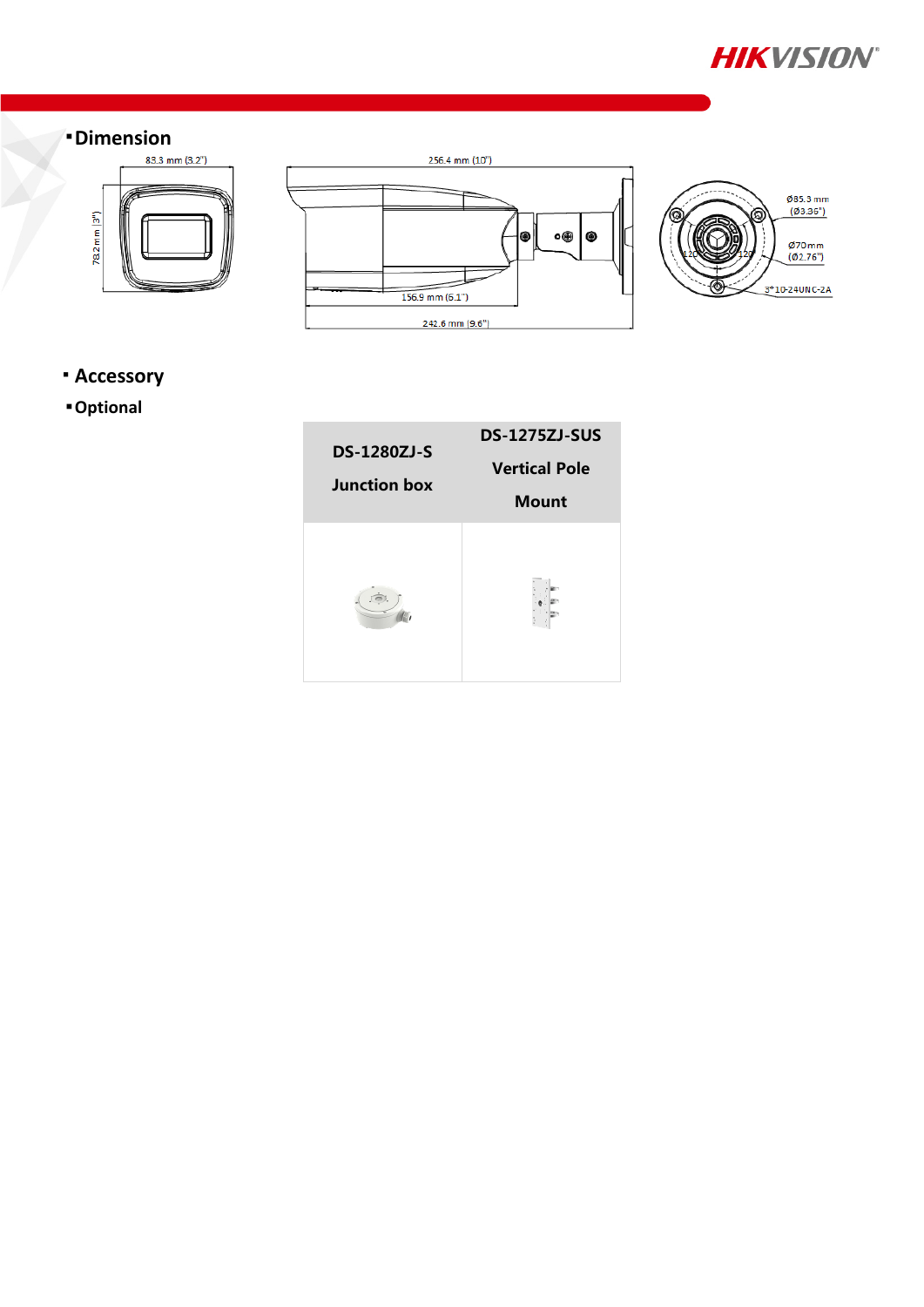



### **Accessory**

### **Optional**